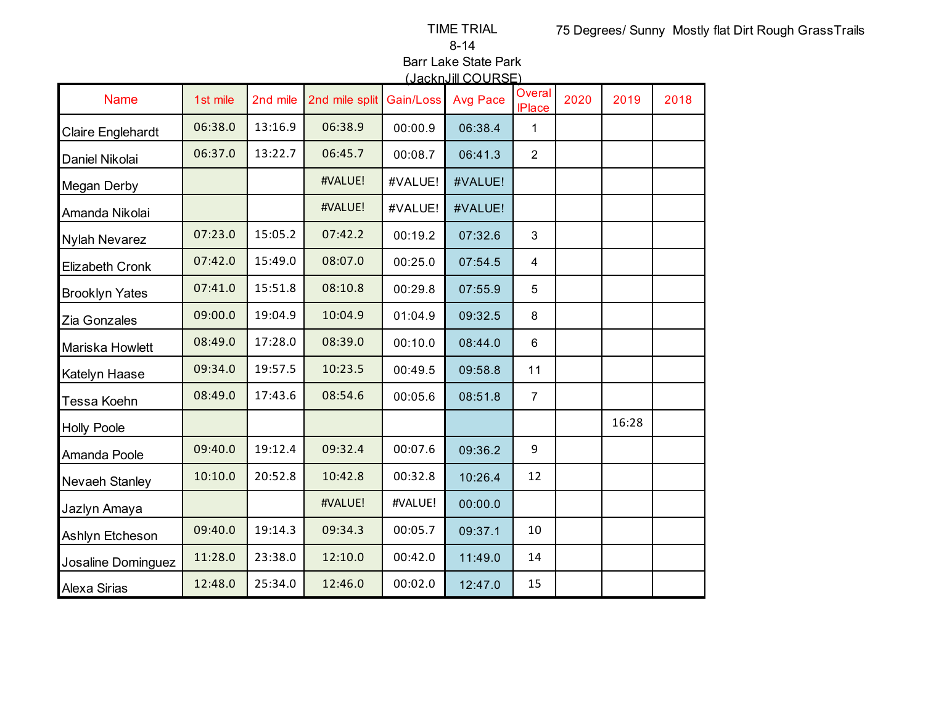TIME TRIAL

8-14

Barr Lake State Park (JacknJill COURSE)

|                       |          |          |                |           | <u>JULIUS SUNDE</u> |                                |      |       |      |
|-----------------------|----------|----------|----------------|-----------|---------------------|--------------------------------|------|-------|------|
| <b>Name</b>           | 1st mile | 2nd mile | 2nd mile split | Gain/Loss | <b>Avg Pace</b>     | <b>Overal</b><br><b>IPlace</b> | 2020 | 2019  | 2018 |
| Claire Englehardt     | 06:38.0  | 13:16.9  | 06:38.9        | 00:00.9   | 06:38.4             | $\mathbf{1}$                   |      |       |      |
| Daniel Nikolai        | 06:37.0  | 13:22.7  | 06:45.7        | 00:08.7   | 06:41.3             | $\overline{2}$                 |      |       |      |
| <b>Megan Derby</b>    |          |          | #VALUE!        | #VALUE!   | #VALUE!             |                                |      |       |      |
| Amanda Nikolai        |          |          | #VALUE!        | #VALUE!   | #VALUE!             |                                |      |       |      |
| <b>Nylah Nevarez</b>  | 07:23.0  | 15:05.2  | 07:42.2        | 00:19.2   | 07:32.6             | 3                              |      |       |      |
| Elizabeth Cronk       | 07:42.0  | 15:49.0  | 08:07.0        | 00:25.0   | 07:54.5             | $\overline{4}$                 |      |       |      |
| <b>Brooklyn Yates</b> | 07:41.0  | 15:51.8  | 08:10.8        | 00:29.8   | 07:55.9             | 5                              |      |       |      |
| Zia Gonzales          | 09:00.0  | 19:04.9  | 10:04.9        | 01:04.9   | 09:32.5             | 8                              |      |       |      |
| Mariska Howlett       | 08:49.0  | 17:28.0  | 08:39.0        | 00:10.0   | 08:44.0             | $6\phantom{1}$                 |      |       |      |
| Katelyn Haase         | 09:34.0  | 19:57.5  | 10:23.5        | 00:49.5   | 09:58.8             | 11                             |      |       |      |
| Tessa Koehn           | 08:49.0  | 17:43.6  | 08:54.6        | 00:05.6   | 08:51.8             | $\overline{7}$                 |      |       |      |
| <b>Holly Poole</b>    |          |          |                |           |                     |                                |      | 16:28 |      |
| Amanda Poole          | 09:40.0  | 19:12.4  | 09:32.4        | 00:07.6   | 09:36.2             | 9                              |      |       |      |
| Nevaeh Stanley        | 10:10.0  | 20:52.8  | 10:42.8        | 00:32.8   | 10:26.4             | 12                             |      |       |      |
| Jazlyn Amaya          |          |          | #VALUE!        | #VALUE!   | 00:00.0             |                                |      |       |      |
| Ashlyn Etcheson       | 09:40.0  | 19:14.3  | 09:34.3        | 00:05.7   | 09:37.1             | 10                             |      |       |      |
| Josaline Dominguez    | 11:28.0  | 23:38.0  | 12:10.0        | 00:42.0   | 11:49.0             | 14                             |      |       |      |
| Alexa Sirias          | 12:48.0  | 25:34.0  | 12:46.0        | 00:02.0   | 12:47.0             | 15                             |      |       |      |